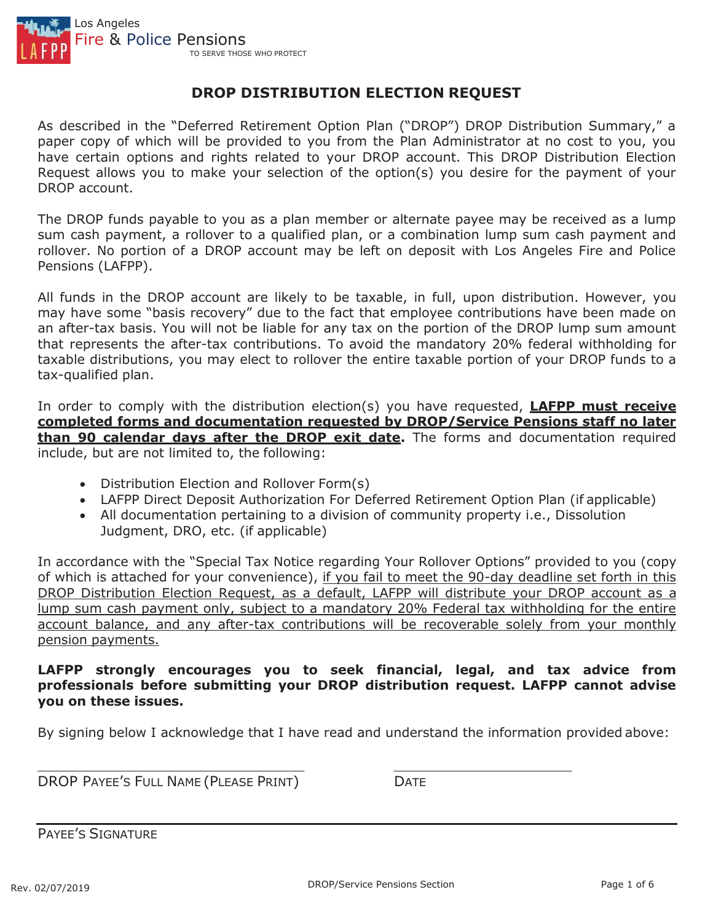

## **DROP DISTRIBUTION ELECTION REQUEST**

As described in the "Deferred Retirement Option Plan ("DROP") DROP Distribution Summary," a paper copy of which will be provided to you from the Plan Administrator at no cost to you, you have certain options and rights related to your DROP account. This DROP Distribution Election Request allows you to make your selection of the option(s) you desire for the payment of your DROP account.

The DROP funds payable to you as a plan member or alternate payee may be received as a lump sum cash payment, a rollover to a qualified plan, or a combination lump sum cash payment and rollover. No portion of a DROP account may be left on deposit with Los Angeles Fire and Police Pensions (LAFPP).

All funds in the DROP account are likely to be taxable, in full, upon distribution. However, you may have some "basis recovery" due to the fact that employee contributions have been made on an after-tax basis. You will not be liable for any tax on the portion of the DROP lump sum amount that represents the after-tax contributions. To avoid the mandatory 20% federal withholding for taxable distributions, you may elect to rollover the entire taxable portion of your DROP funds to a tax-qualified plan.

In order to comply with the distribution election(s) you have requested, **LAFPP must receive completed forms and documentation requested by DROP/Service Pensions staff no later than 90 calendar days after the DROP exit date.** The forms and documentation required include, but are not limited to, the following:

- Distribution Election and Rollover Form(s)
- LAFPP Direct Deposit Authorization For Deferred Retirement Option Plan (if applicable)
- All documentation pertaining to a division of community property i.e., Dissolution Judgment, DRO, etc. (if applicable)

In accordance with the "Special Tax Notice regarding Your Rollover Options" provided to you (copy of which is attached for your convenience), if you fail to meet the 90-day deadline set forth in this DROP Distribution Election Request, as a default, LAFPP will distribute your DROP account as a lump sum cash payment only, subject to a mandatory 20% Federal tax withholding for the entire account balance, and any after-tax contributions will be recoverable solely from your monthly pension payments.

#### **LAFPP strongly encourages you to seek financial, legal, and tax advice from professionals before submitting your DROP distribution request. LAFPP cannot advise you on these issues.**

By signing below I acknowledge that I have read and understand the information provided above:

DROP PAYEE'S FULL NAME (PLEASE PRINT) DATE

PAYEE'S SIGNATURE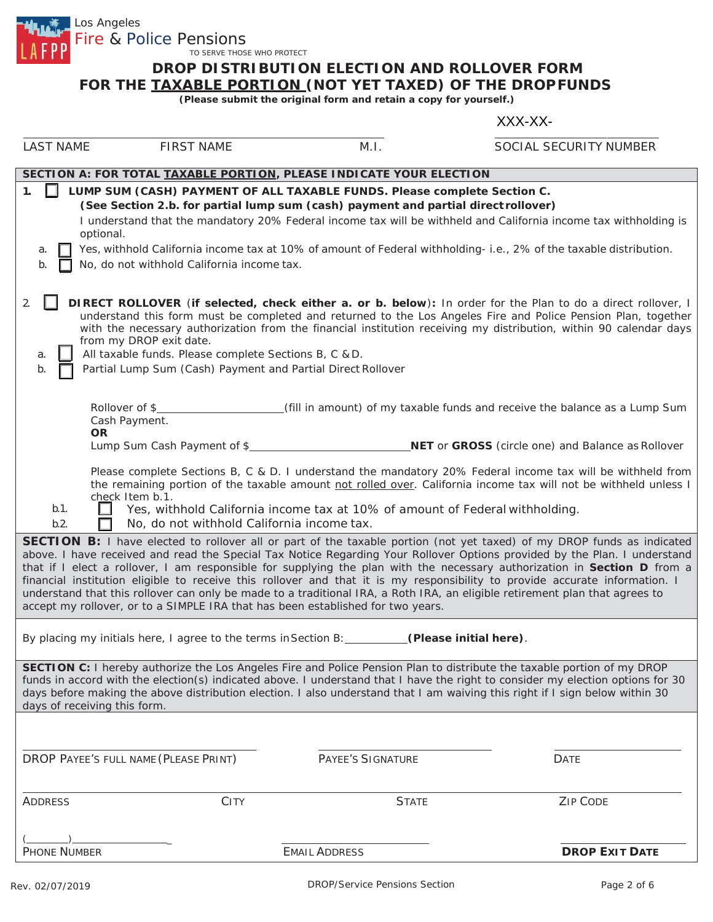Fire & Police Pensions TO SERVE THOSE WHO PROTECT

Los Angeles

# **DROP DISTRIBUTION ELECTION AND ROLLOVER FORM**

**FOR THE** *TAXABLE PORTION* **(NOT YET TAXED) OF THE DROP FUNDS**

**(Please submit the original form and retain a copy for yourself.)**

#### XXX-XX-

| <b>LAST NAME</b>                                                                                                                                                                                                                                                                                                                                                                                                                                                                                                                                                                                                                                                                                                                        | <b>FIRST NAME</b>                                                                                                                                                                                                         | M.I.                     | SOCIAL SECURITY NUMBER                                                                                                                                                                                                                |  |
|-----------------------------------------------------------------------------------------------------------------------------------------------------------------------------------------------------------------------------------------------------------------------------------------------------------------------------------------------------------------------------------------------------------------------------------------------------------------------------------------------------------------------------------------------------------------------------------------------------------------------------------------------------------------------------------------------------------------------------------------|---------------------------------------------------------------------------------------------------------------------------------------------------------------------------------------------------------------------------|--------------------------|---------------------------------------------------------------------------------------------------------------------------------------------------------------------------------------------------------------------------------------|--|
|                                                                                                                                                                                                                                                                                                                                                                                                                                                                                                                                                                                                                                                                                                                                         | SECTION A: FOR TOTAL TAXABLE PORTION, PLEASE INDICATE YOUR ELECTION                                                                                                                                                       |                          |                                                                                                                                                                                                                                       |  |
| $\mathbf{1}$ .<br>a.<br>b.                                                                                                                                                                                                                                                                                                                                                                                                                                                                                                                                                                                                                                                                                                              | LUMP SUM (CASH) PAYMENT OF ALL TAXABLE FUNDS. Please complete Section C.<br>(See Section 2.b. for partial lump sum (cash) payment and partial direct rollover)<br>optional.<br>No, do not withhold California income tax. |                          | I understand that the mandatory 20% Federal income tax will be withheld and California income tax withholding is<br>Yes, withhold California income tax at 10% of amount of Federal withholding-i.e., 2% of the taxable distribution. |  |
| 2.<br>DIRECT ROLLOVER (if selected, check either a. or b. below): In order for the Plan to do a direct rollover, I<br>understand this form must be completed and returned to the Los Angeles Fire and Police Pension Plan, together<br>with the necessary authorization from the financial institution receiving my distribution, within 90 calendar days<br>from my DROP exit date.<br>All taxable funds. Please complete Sections B, C & D.<br>a.<br>Partial Lump Sum (Cash) Payment and Partial Direct Rollover<br>b.                                                                                                                                                                                                                |                                                                                                                                                                                                                           |                          |                                                                                                                                                                                                                                       |  |
|                                                                                                                                                                                                                                                                                                                                                                                                                                                                                                                                                                                                                                                                                                                                         | Rollover of \$<br>Cash Payment.<br><b>OR</b><br>Lump Sum Cash Payment of \$                                                                                                                                               |                          | (fill in amount) of my taxable funds and receive the balance as a Lump Sum<br>NET or GROSS (circle one) and Balance as Rollover                                                                                                       |  |
| Please complete Sections B, C & D. I understand the mandatory 20% Federal income tax will be withheld from<br>the remaining portion of the taxable amount not rolled over. California income tax will not be withheld unless I<br>check Item b.1.<br>b.1.<br>Yes, withhold California income tax at 10% of amount of Federal withholding.<br>No, do not withhold California income tax.<br>b.2.                                                                                                                                                                                                                                                                                                                                         |                                                                                                                                                                                                                           |                          |                                                                                                                                                                                                                                       |  |
| <b>SECTION B:</b> I have elected to rollover all or part of the taxable portion (not yet taxed) of my DROP funds as indicated<br>above. I have received and read the Special Tax Notice Regarding Your Rollover Options provided by the Plan. I understand<br>that if I elect a rollover, I am responsible for supplying the plan with the necessary authorization in Section D from a<br>financial institution eligible to receive this rollover and that it is my responsibility to provide accurate information. I<br>understand that this rollover can only be made to a traditional IRA, a Roth IRA, an eligible retirement plan that agrees to<br>accept my rollover, or to a SIMPLE IRA that has been established for two years. |                                                                                                                                                                                                                           |                          |                                                                                                                                                                                                                                       |  |
| By placing my initials here, I agree to the terms in Section B: (Please initial here).                                                                                                                                                                                                                                                                                                                                                                                                                                                                                                                                                                                                                                                  |                                                                                                                                                                                                                           |                          |                                                                                                                                                                                                                                       |  |
| SECTION C: I hereby authorize the Los Angeles Fire and Police Pension Plan to distribute the taxable portion of my DROP<br>funds in accord with the election(s) indicated above. I understand that I have the right to consider my election options for 30<br>days before making the above distribution election. I also understand that I am waiving this right if I sign below within 30<br>days of receiving this form.                                                                                                                                                                                                                                                                                                              |                                                                                                                                                                                                                           |                          |                                                                                                                                                                                                                                       |  |
|                                                                                                                                                                                                                                                                                                                                                                                                                                                                                                                                                                                                                                                                                                                                         |                                                                                                                                                                                                                           |                          |                                                                                                                                                                                                                                       |  |
|                                                                                                                                                                                                                                                                                                                                                                                                                                                                                                                                                                                                                                                                                                                                         | DROP PAYEE'S FULL NAME (PLEASE PRINT)                                                                                                                                                                                     | <b>PAYEE'S SIGNATURE</b> | DATE                                                                                                                                                                                                                                  |  |
| ADDRESS                                                                                                                                                                                                                                                                                                                                                                                                                                                                                                                                                                                                                                                                                                                                 | CITY                                                                                                                                                                                                                      | <b>STATE</b>             | <b>ZIP CODE</b>                                                                                                                                                                                                                       |  |
| <b>PHONE NUMBER</b>                                                                                                                                                                                                                                                                                                                                                                                                                                                                                                                                                                                                                                                                                                                     |                                                                                                                                                                                                                           | <b>EMAIL ADDRESS</b>     | <b>DROP EXIT DATE</b>                                                                                                                                                                                                                 |  |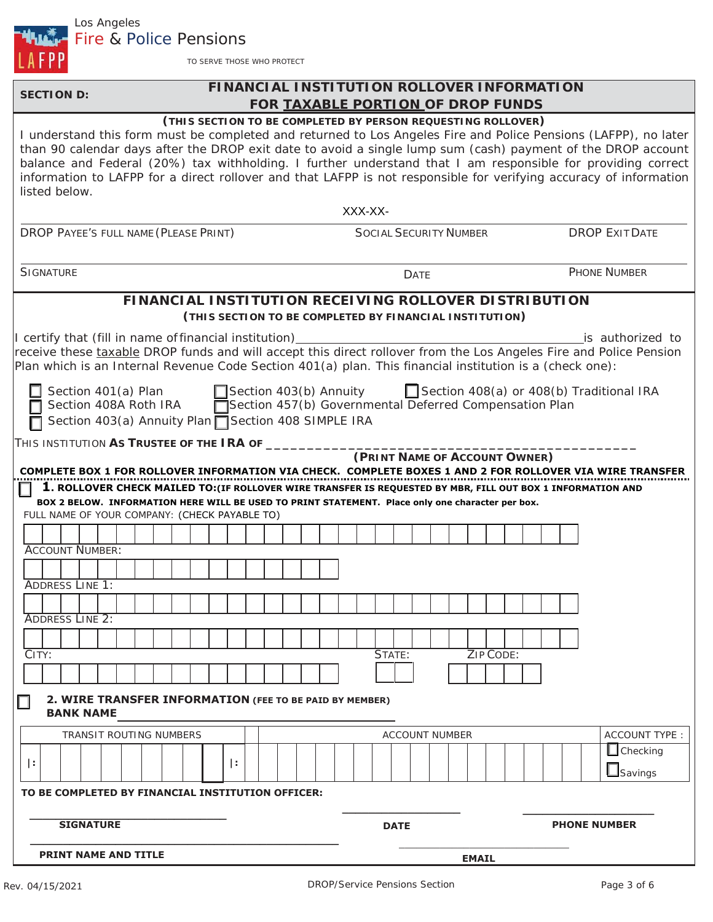

TO SERVE THOSE WHO PROTECT

## **SECTION** D: **FINANCIAL INSTITUTION ROLLOVER INFORMATION FOR TAXABLE PORTION OF DROP FUNDS**

#### **(THIS SECTION TO BE COMPLETED BY PERSON REQUESTING ROLLOVER)**

| I understand this form must be completed and returned to Los Angeles Fire and Police Pensions (LAFPP), no later<br>than 90 calendar days after the DROP exit date to avoid a single lump sum (cash) payment of the DROP account<br>balance and Federal (20%) tax withholding. I further understand that I am responsible for providing correct<br>information to LAFPP for a direct rollover and that LAFPP is not responsible for verifying accuracy of information<br>listed below. |                                                                                                                         |                                          |
|---------------------------------------------------------------------------------------------------------------------------------------------------------------------------------------------------------------------------------------------------------------------------------------------------------------------------------------------------------------------------------------------------------------------------------------------------------------------------------------|-------------------------------------------------------------------------------------------------------------------------|------------------------------------------|
|                                                                                                                                                                                                                                                                                                                                                                                                                                                                                       | XXX-XX-                                                                                                                 |                                          |
| DROP PAYEE'S FULL NAME (PLEASE PRINT)                                                                                                                                                                                                                                                                                                                                                                                                                                                 | <b>SOCIAL SECURITY NUMBER</b>                                                                                           | <b>DROP EXIT DATE</b>                    |
| <b>SIGNATURE</b>                                                                                                                                                                                                                                                                                                                                                                                                                                                                      | <b>DATE</b>                                                                                                             | <b>PHONE NUMBER</b>                      |
|                                                                                                                                                                                                                                                                                                                                                                                                                                                                                       | <b>FINANCIAL INSTITUTION RECEIVING ROLLOVER DISTRIBUTION</b><br>(THIS SECTION TO BE COMPLETED BY FINANCIAL INSTITUTION) |                                          |
| I certify that (fill in name of financial institution)<br>receive these taxable DROP funds and will accept this direct rollover from the Los Angeles Fire and Police Pension<br>Plan which is an Internal Revenue Code Section 401(a) plan. This financial institution is a (check one):                                                                                                                                                                                              |                                                                                                                         | is authorized to                         |
| Section 401(a) Plan<br>Section 403(b) Annuity<br>Section 408(a) or 408(b) I<br>Section 408A Roth IRA<br>Section 457(b) Governmental Deferred Compensation Plan<br>Section 403(a) Annuity Plan □ Section 408 SIMPLE IRA                                                                                                                                                                                                                                                                | Section 403(b) Annuity                                                                                                  | Section 408(a) or 408(b) Traditional IRA |
| THIS INSTITUTION AS TRUSTEE OF THE IRA OF _____<br>COMPLETE BOX 1 FOR ROLLOVER INFORMATION VIA CHECK. COMPLETE BOXES 1 AND 2 FOR ROLLOVER VIA WIRE TRANSFER<br>1. ROLLOVER CHECK MAILED TO: (IF ROLLOVER WIRE TRANSFER IS REQUESTED BY MBR, FILL OUT BOX 1 INFORMATION AND                                                                                                                                                                                                            | (PRINT NAME OF ACCOUNT OWNER)                                                                                           |                                          |
| BOX 2 BELOW. INFORMATION HERE WILL BE USED TO PRINT STATEMENT. Place only one character per box.<br>FULL NAME OF YOUR COMPANY: (CHECK PAYABLE TO)                                                                                                                                                                                                                                                                                                                                     |                                                                                                                         |                                          |
|                                                                                                                                                                                                                                                                                                                                                                                                                                                                                       |                                                                                                                         |                                          |
| <b>ACCOUNT NUMBER:</b>                                                                                                                                                                                                                                                                                                                                                                                                                                                                |                                                                                                                         |                                          |
|                                                                                                                                                                                                                                                                                                                                                                                                                                                                                       |                                                                                                                         |                                          |
| <b>ADDRESS LINE 1:</b>                                                                                                                                                                                                                                                                                                                                                                                                                                                                |                                                                                                                         |                                          |
| <b>ADDRESS LINE 2:</b>                                                                                                                                                                                                                                                                                                                                                                                                                                                                |                                                                                                                         |                                          |
|                                                                                                                                                                                                                                                                                                                                                                                                                                                                                       |                                                                                                                         |                                          |
| CITY:                                                                                                                                                                                                                                                                                                                                                                                                                                                                                 | STATE:                                                                                                                  | ZIP CODE:                                |
|                                                                                                                                                                                                                                                                                                                                                                                                                                                                                       |                                                                                                                         |                                          |
| 2. WIRE TRANSFER INFORMATION (FEE TO BE PAID BY MEMBER)<br><b>BANK NAME</b>                                                                                                                                                                                                                                                                                                                                                                                                           |                                                                                                                         |                                          |
| TRANSIT ROUTING NUMBERS                                                                                                                                                                                                                                                                                                                                                                                                                                                               | <b>ACCOUNT NUMBER</b>                                                                                                   | <b>ACCOUNT TYPE:</b>                     |
| $\vert$ :<br>l÷.                                                                                                                                                                                                                                                                                                                                                                                                                                                                      |                                                                                                                         | $\Box$ Checking<br><b>L</b> Savings      |
| TO BE COMPLETED BY FINANCIAL INSTITUTION OFFICER:                                                                                                                                                                                                                                                                                                                                                                                                                                     |                                                                                                                         |                                          |
| <b>SIGNATURE</b>                                                                                                                                                                                                                                                                                                                                                                                                                                                                      | <b>DATE</b>                                                                                                             | <b>PHONE NUMBER</b>                      |
| <b>PRINT NAME AND TITLE</b>                                                                                                                                                                                                                                                                                                                                                                                                                                                           |                                                                                                                         | <b>EMAIL</b>                             |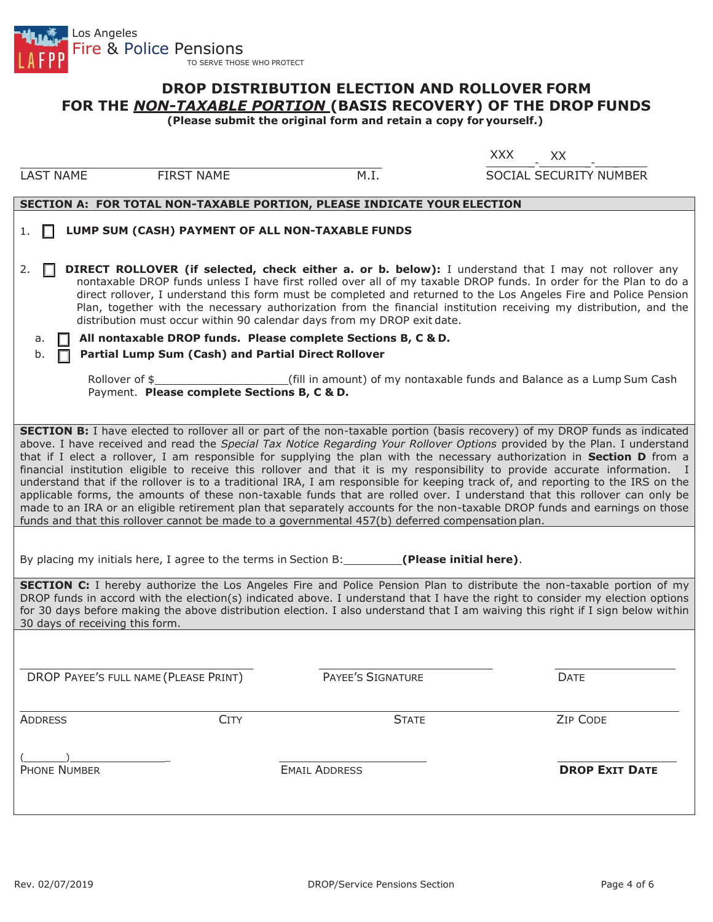

### **DROP DISTRIBUTION ELECTION AND ROLLOVER FORM FOR THE** *NON-TAXABLE PORTION* **(BASIS RECOVERY) OF THE DROP FUNDS**

**(Please submit the original form and retain a copy for yourself.)**

|                                                                                                                                                                                                                                                                                                                                                                                                                                                                                                                                                                                                                                                                                                                                                                                                                                                                                                                                                                                                                                |             |                                                                        | <b>XXX</b><br>XX.      |                       |  |
|--------------------------------------------------------------------------------------------------------------------------------------------------------------------------------------------------------------------------------------------------------------------------------------------------------------------------------------------------------------------------------------------------------------------------------------------------------------------------------------------------------------------------------------------------------------------------------------------------------------------------------------------------------------------------------------------------------------------------------------------------------------------------------------------------------------------------------------------------------------------------------------------------------------------------------------------------------------------------------------------------------------------------------|-------------|------------------------------------------------------------------------|------------------------|-----------------------|--|
| <b>LAST NAME</b><br><b>FIRST NAME</b>                                                                                                                                                                                                                                                                                                                                                                                                                                                                                                                                                                                                                                                                                                                                                                                                                                                                                                                                                                                          |             | M.I.                                                                   | SOCIAL SECURITY NUMBER |                       |  |
| SECTION A: FOR TOTAL NON-TAXABLE PORTION, PLEASE INDICATE YOUR ELECTION                                                                                                                                                                                                                                                                                                                                                                                                                                                                                                                                                                                                                                                                                                                                                                                                                                                                                                                                                        |             |                                                                        |                        |                       |  |
| LUMP SUM (CASH) PAYMENT OF ALL NON-TAXABLE FUNDS<br>1.                                                                                                                                                                                                                                                                                                                                                                                                                                                                                                                                                                                                                                                                                                                                                                                                                                                                                                                                                                         |             |                                                                        |                        |                       |  |
| <b>DIRECT ROLLOVER (if selected, check either a. or b. below):</b> I understand that I may not rollover any<br>2.<br>nontaxable DROP funds unless I have first rolled over all of my taxable DROP funds. In order for the Plan to do a<br>direct rollover, I understand this form must be completed and returned to the Los Angeles Fire and Police Pension<br>Plan, together with the necessary authorization from the financial institution receiving my distribution, and the<br>distribution must occur within 90 calendar days from my DROP exit date.                                                                                                                                                                                                                                                                                                                                                                                                                                                                    |             |                                                                        |                        |                       |  |
| All nontaxable DROP funds. Please complete Sections B, C & D.<br>a.<br><b>Partial Lump Sum (Cash) and Partial Direct Rollover</b><br>b.                                                                                                                                                                                                                                                                                                                                                                                                                                                                                                                                                                                                                                                                                                                                                                                                                                                                                        |             |                                                                        |                        |                       |  |
| Rollover of \$<br>Payment. Please complete Sections B, C & D.                                                                                                                                                                                                                                                                                                                                                                                                                                                                                                                                                                                                                                                                                                                                                                                                                                                                                                                                                                  |             | (fill in amount) of my nontaxable funds and Balance as a Lump Sum Cash |                        |                       |  |
| <b>SECTION B:</b> I have elected to rollover all or part of the non-taxable portion (basis recovery) of my DROP funds as indicated<br>above. I have received and read the Special Tax Notice Regarding Your Rollover Options provided by the Plan. I understand<br>that if I elect a rollover, I am responsible for supplying the plan with the necessary authorization in Section D from a<br>financial institution eligible to receive this rollover and that it is my responsibility to provide accurate information. I<br>understand that if the rollover is to a traditional IRA, I am responsible for keeping track of, and reporting to the IRS on the<br>applicable forms, the amounts of these non-taxable funds that are rolled over. I understand that this rollover can only be<br>made to an IRA or an eligible retirement plan that separately accounts for the non-taxable DROP funds and earnings on those<br>funds and that this rollover cannot be made to a governmental 457(b) deferred compensation plan. |             |                                                                        |                        |                       |  |
| By placing my initials here, I agree to the terms in Section B: __________(Please initial here).                                                                                                                                                                                                                                                                                                                                                                                                                                                                                                                                                                                                                                                                                                                                                                                                                                                                                                                               |             |                                                                        |                        |                       |  |
| <b>SECTION C:</b> I hereby authorize the Los Angeles Fire and Police Pension Plan to distribute the non-taxable portion of my<br>DROP funds in accord with the election(s) indicated above. I understand that I have the right to consider my election options<br>for 30 days before making the above distribution election. I also understand that I am waiving this right if I sign below within<br>30 days of receiving this form.                                                                                                                                                                                                                                                                                                                                                                                                                                                                                                                                                                                          |             |                                                                        |                        |                       |  |
|                                                                                                                                                                                                                                                                                                                                                                                                                                                                                                                                                                                                                                                                                                                                                                                                                                                                                                                                                                                                                                |             |                                                                        |                        |                       |  |
| DROP PAYEE'S FULL NAME (PLEASE PRINT)                                                                                                                                                                                                                                                                                                                                                                                                                                                                                                                                                                                                                                                                                                                                                                                                                                                                                                                                                                                          |             | PAYEE'S SIGNATURE                                                      | DATE                   |                       |  |
| <b>ADDRESS</b>                                                                                                                                                                                                                                                                                                                                                                                                                                                                                                                                                                                                                                                                                                                                                                                                                                                                                                                                                                                                                 | <b>CITY</b> | <b>STATE</b>                                                           | ZIP CODE               |                       |  |
| <b>PHONE NUMBER</b>                                                                                                                                                                                                                                                                                                                                                                                                                                                                                                                                                                                                                                                                                                                                                                                                                                                                                                                                                                                                            |             | <b>EMAIL ADDRESS</b>                                                   |                        | <b>DROP EXIT DATE</b> |  |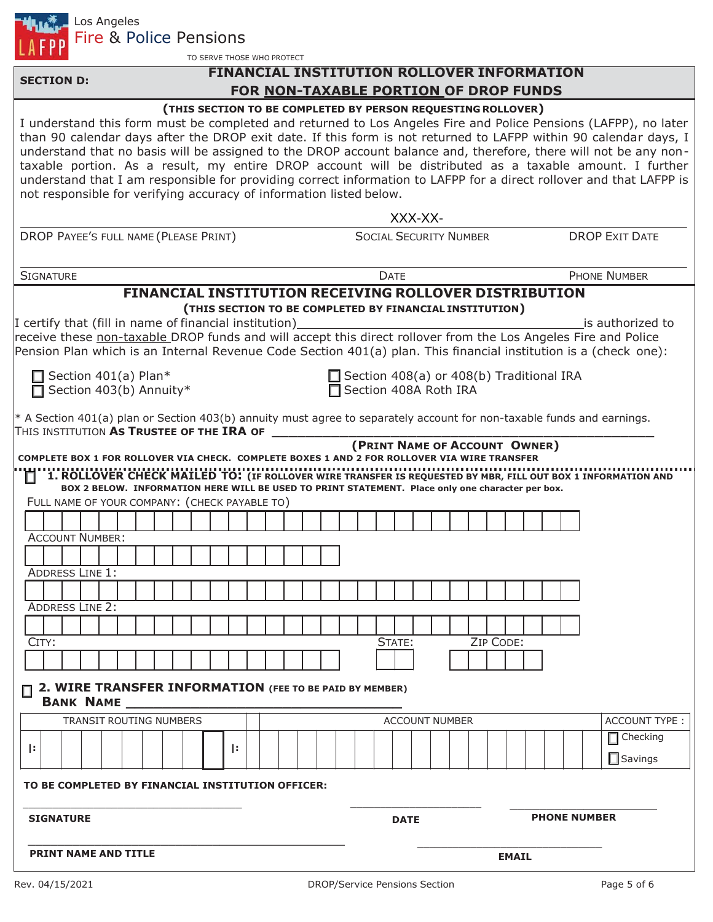

Fire & Police Pensions

TO SERVE THOSE WHO PROTECT

## **FINANCIAL INSTITUTION ROLLOVER INFORMATION FOR NON-TAXABLE PORTION OF DROP FUNDS**

| 2. WIRE TRANSFER INFORMATION (FEE TO BE PAID BY MEMBER)<br><b>BANK NAME</b><br>TRANSIT ROUTING NUMBERS<br>Ŀ.<br>Ŀ.<br>TO BE COMPLETED BY FINANCIAL INSTITUTION OFFICER:<br><b>SIGNATURE</b>                                         | <b>ACCOUNT NUMBER</b><br><b>DATE</b>                                       | ACCOUNT TYPE:<br>Checking<br>$\Box$ Savings<br><b>PHONE NUMBER</b> |
|-------------------------------------------------------------------------------------------------------------------------------------------------------------------------------------------------------------------------------------|----------------------------------------------------------------------------|--------------------------------------------------------------------|
|                                                                                                                                                                                                                                     |                                                                            |                                                                    |
|                                                                                                                                                                                                                                     |                                                                            |                                                                    |
|                                                                                                                                                                                                                                     |                                                                            |                                                                    |
|                                                                                                                                                                                                                                     |                                                                            |                                                                    |
|                                                                                                                                                                                                                                     |                                                                            |                                                                    |
|                                                                                                                                                                                                                                     |                                                                            |                                                                    |
|                                                                                                                                                                                                                                     |                                                                            |                                                                    |
|                                                                                                                                                                                                                                     |                                                                            |                                                                    |
| CITY:                                                                                                                                                                                                                               | ZIP CODE:<br>STATE:                                                        |                                                                    |
|                                                                                                                                                                                                                                     |                                                                            |                                                                    |
| <b>ADDRESS LINE 2:</b>                                                                                                                                                                                                              |                                                                            |                                                                    |
| <b>ADDRESS LINE 1:</b>                                                                                                                                                                                                              |                                                                            |                                                                    |
|                                                                                                                                                                                                                                     |                                                                            |                                                                    |
| <b>ACCOUNT NUMBER:</b>                                                                                                                                                                                                              |                                                                            |                                                                    |
|                                                                                                                                                                                                                                     |                                                                            |                                                                    |
| BOX 2 BELOW. INFORMATION HERE WILL BE USED TO PRINT STATEMENT. Place only one character per box.<br>FULL NAME OF YOUR COMPANY: (CHECK PAYABLE TO)                                                                                   |                                                                            |                                                                    |
| COMPLETE BOX 1 FOR ROLLOVER VIA CHECK. COMPLETE BOXES 1 AND 2 FOR ROLLOVER VIA WIRE TRANSFER<br>1. ROLLOVER CHECK MAILED TO: (IF ROLLOVER WIRE TRANSFER IS REQUESTED BY MBR, FILL OUT BOX 1 INFORMATION AND<br>П                    |                                                                            |                                                                    |
|                                                                                                                                                                                                                                     | (PRINT NAME OF ACCOUNT OWNER)                                              |                                                                    |
| * A Section 401(a) plan or Section 403(b) annuity must agree to separately account for non-taxable funds and earnings.<br>THIS INSTITUTION AS TRUSTEE OF THE IRA OF                                                                 |                                                                            |                                                                    |
|                                                                                                                                                                                                                                     |                                                                            |                                                                    |
| $\Box$ Section 401(a) Plan*<br>Section 403(b) Annuity*                                                                                                                                                                              | $\Box$ Section 408(a) or 408(b) Traditional IRA<br>□ Section 408A Roth IRA |                                                                    |
| Pension Plan which is an Internal Revenue Code Section 401(a) plan. This financial institution is a (check one):                                                                                                                    |                                                                            |                                                                    |
| receive these non-taxable DROP funds and will accept this direct rollover from the Los Angeles Fire and Police                                                                                                                      |                                                                            |                                                                    |
| I certify that (fill in name of financial institution)                                                                                                                                                                              |                                                                            | is authorized to                                                   |
| <b>FINANCIAL INSTITUTION RECEIVING ROLLOVER DISTRIBUTION</b>                                                                                                                                                                        | (THIS SECTION TO BE COMPLETED BY FINANCIAL INSTITUTION)                    |                                                                    |
| <b>SIGNATURE</b>                                                                                                                                                                                                                    | <b>DATE</b>                                                                | <b>PHONE NUMBER</b>                                                |
|                                                                                                                                                                                                                                     |                                                                            |                                                                    |
| DROP PAYEE'S FULL NAME (PLEASE PRINT)                                                                                                                                                                                               | <b>SOCIAL SECURITY NUMBER</b>                                              | <b>DROP EXIT DATE</b>                                              |
|                                                                                                                                                                                                                                     | XXX-XX-                                                                    |                                                                    |
| understand that I am responsible for providing correct information to LAFPP for a direct rollover and that LAFPP is<br>not responsible for verifying accuracy of information listed below.                                          |                                                                            |                                                                    |
|                                                                                                                                                                                                                                     |                                                                            |                                                                    |
| taxable portion. As a result, my entire DROP account will be distributed as a taxable amount. I further                                                                                                                             |                                                                            |                                                                    |
| understand that no basis will be assigned to the DROP account balance and, therefore, there will not be any non-                                                                                                                    |                                                                            |                                                                    |
| I understand this form must be completed and returned to Los Angeles Fire and Police Pensions (LAFPP), no later<br>than 90 calendar days after the DROP exit date. If this form is not returned to LAFPP within 90 calendar days, I |                                                                            |                                                                    |